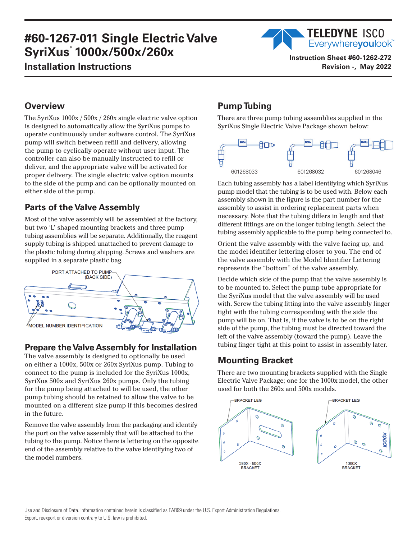# **#60-1267-011 Single Electric Valve SyriXus**®  **1000x/500x/260x Installation Instructions**



**Instruction Sheet #60-1262-272 Revision -, May 2022**

## **Overview**

The SyriXus 1000x / 500x / 260x single electric valve option is designed to automatically allow the SyriXus pumps to operate continuously under software control. The SyriXus pump will switch between refill and delivery, allowing the pump to cyclically operate without user input. The controller can also be manually instructed to refill or deliver, and the appropriate valve will be activated for proper delivery. The single electric valve option mounts to the side of the pump and can be optionally mounted on either side of the pump.

## **Parts of the Valve Assembly**

Most of the valve assembly will be assembled at the factory, but two 'L' shaped mounting brackets and three pump tubing assemblies will be separate. Additionally, the reagent supply tubing is shipped unattached to prevent damage to the plastic tubing during shipping. Screws and washers are supplied in a separate plastic bag.



### **Prepare the Valve Assembly for Installation**

The valve assembly is designed to optionally be used on either a 1000x, 500x or 260x SyriXus pump. Tubing to connect to the pump is included for the SyriXus 1000x, SyriXus 500x and SyriXus 260x pumps. Only the tubing for the pump being attached to will be used, the other pump tubing should be retained to allow the valve to be mounted on a different size pump if this becomes desired in the future.

Remove the valve assembly from the packaging and identify the port on the valve assembly that will be attached to the tubing to the pump. Notice there is lettering on the opposite end of the assembly relative to the valve identifying two of the model numbers.

# **Pump Tubing**

There are three pump tubing assemblies supplied in the SyriXus Single Electric Valve Package shown below:



Each tubing assembly has a label identifying which SyriXus pump model that the tubing is to be used with. Below each assembly shown in the figure is the part number for the assembly to assist in ordering replacement parts when necessary. Note that the tubing differs in length and that different fittings are on the longer tubing length. Select the tubing assembly applicable to the pump being connected to.

Orient the valve assembly with the valve facing up, and the model identifier lettering closer to you. The end of the valve assembly with the Model Identifier Lettering represents the "bottom" of the valve assembly.

Decide which side of the pump that the valve assembly is to be mounted to. Select the pump tube appropriate for the SyriXus model that the valve assembly will be used with. Screw the tubing fitting into the valve assembly finger tight with the tubing corresponding with the side the pump will be on. That is, if the valve is to be on the right side of the pump, the tubing must be directed toward the left of the valve assembly (toward the pump). Leave the tubing finger tight at this point to assist in assembly later.

### **Mounting Bracket**

There are two mounting brackets supplied with the Single Electric Valve Package; one for the 1000x model, the other used for both the 260x and 500x models.

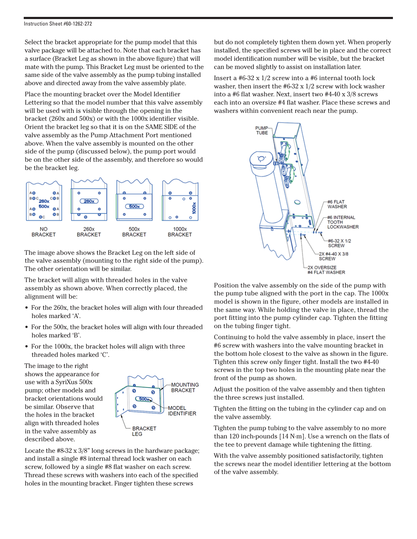Select the bracket appropriate for the pump model that this valve package will be attached to. Note that each bracket has a surface (Bracket Leg as shown in the above figure) that will mate with the pump. This Bracket Leg must be oriented to the same side of the valve assembly as the pump tubing installed above and directed away from the valve assembly plate.

Place the mounting bracket over the Model Identifier Lettering so that the model number that this valve assembly will be used with is visible through the opening in the bracket (260x and 500x) or with the 1000x identifier visible. Orient the bracket leg so that it is on the SAME SIDE of the valve assembly as the Pump Attachment Port mentioned above. When the valve assembly is mounted on the other side of the pump (discussed below), the pump port would be on the other side of the assembly, and therefore so would be the bracket leg.



The image above shows the Bracket Leg on the left side of the valve assembly (mounting to the right side of the pump). The other orientation will be similar.

The bracket will align with threaded holes in the valve assembly as shown above. When correctly placed, the alignment will be:

- For the 260x, the bracket holes will align with four threaded holes marked 'A'.
- For the 500x, the bracket holes will align with four threaded holes marked 'B'.
- For the 1000x, the bracket holes will align with three threaded holes marked 'C'.

The image to the right shows the appearance for use with a SyriXus 500x pump; other models and bracket orientations would be similar. Observe that the holes in the bracket align with threaded holes in the valve assembly as described above.



Locate the #8-32 x 3/8" long screws in the hardware package; and install a single #8 internal thread lock washer on each screw, followed by a single #8 flat washer on each screw. Thread these screws with washers into each of the specified holes in the mounting bracket. Finger tighten these screws

but do not completely tighten them down yet. When properly installed, the specified screws will be in place and the correct model identification number will be visible, but the bracket can be moved slightly to assist on installation later.

Insert a #6-32 x 1/2 screw into a #6 internal tooth lock washer, then insert the  $#6-32 \times 1/2$  screw with lock washer into a #6 flat washer. Next, insert two #4-40 x 3/8 screws each into an oversize #4 flat washer. Place these screws and washers within convenient reach near the pump.



Position the valve assembly on the side of the pump with the pump tube aligned with the port in the cap. The 1000x model is shown in the figure, other models are installed in the same way. While holding the valve in place, thread the port fitting into the pump cylinder cap. Tighten the fitting on the tubing finger tight.

Continuing to hold the valve assembly in place, insert the #6 screw with washers into the valve mounting bracket in the bottom hole closest to the valve as shown in the figure. Tighten this screw only finger tight. Install the two #4-40 screws in the top two holes in the mounting plate near the front of the pump as shown.

Adjust the position of the valve assembly and then tighten the three screws just installed.

Tighten the fitting on the tubing in the cylinder cap and on the valve assembly.

Tighten the pump tubing to the valve assembly to no more than 120 inch-pounds [14 N·m]. Use a wrench on the flats of the tee to prevent damage while tightening the fitting.

With the valve assembly positioned satisfactorily, tighten the screws near the model identifier lettering at the bottom of the valve assembly.